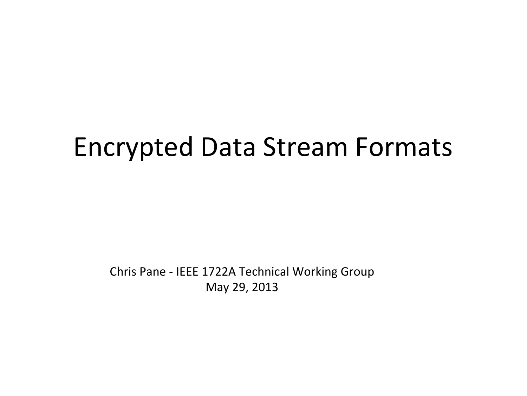## Encrypted Data Stream Formats

Chris Pane - IEEE 1722A Technical Working Group May 29, 2013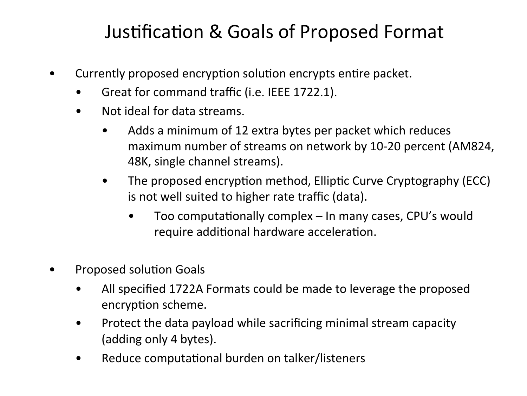## Justification & Goals of Proposed Format

- Currently proposed encryption solution encrypts entire packet.
	- Great for command traffic (i.e. IEEE 1722.1).
	- Not ideal for data streams.
		- Adds a minimum of 12 extra bytes per packet which reduces maximum number of streams on network by 10-20 percent (AM824, 48K, single channel streams).
		- The proposed encryption method, Elliptic Curve Cryptography (ECC) is not well suited to higher rate traffic (data).
			- Too computationally complex  $-$  In many cases, CPU's would require additional hardware acceleration.
- Proposed solution Goals
	- All specified 1722A Formats could be made to leverage the proposed encryption scheme.
	- Protect the data payload while sacrificing minimal stream capacity (adding only 4 bytes).
	- Reduce computational burden on talker/listeners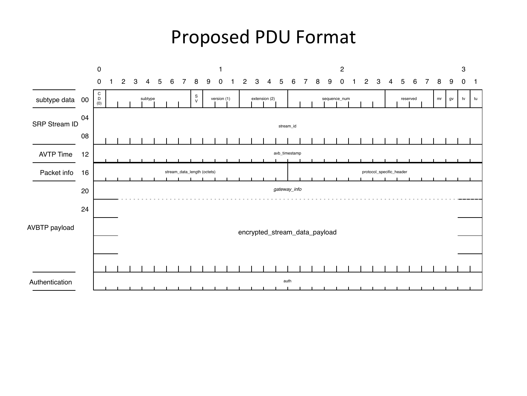## Proposed PDU Format